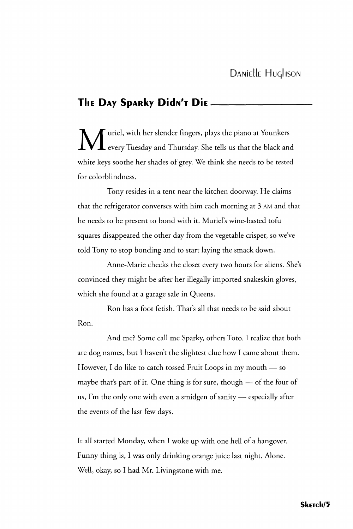## **ThE DAy SpARky DICIN'T Die**

 $\mathbf M$  uriel, with her slender fingers, plays the piano at Younkers<br>every Tuesday and Thursday. She tells us that the black and every Tuesday and Thursday. She tells us that the black and white keys soothe her shades of grey. We think she needs to be tested for colorblindness.

Tony resides in a tent near the kitchen doorway. He claims that the refrigerator converses with him each morning at 3 AM and that he needs to be present to bond with it. Muriel's wine-basted tofu squares disappeared the other day from the vegetable crisper, so we've told Tony to stop bonding and to start laying the smack down.

Anne-Marie checks the closet every two hours for aliens. She's convinced they might be after her illegally imported snakeskin gloves, which she found at a garage sale in Queens.

Ron has a foot fetish. That's all that needs to be said about Ron.

And me? Some call me Sparky, others Toto. I realize that both are dog names, but I haven't the slightest clue how I came about them. However, I do like to catch tossed Fruit Loops in my mouth — so maybe that's part of it. One thing is for sure, though — of the four of us, I'm the only one with even a smidgen of sanity — especially after the events of the last few days.

It all started Monday, when I woke up with one hell of a hangover. Funny thing is, I was only drinking orange juice last night. Alone. Well, okay, so I had Mr. Livingstone with me.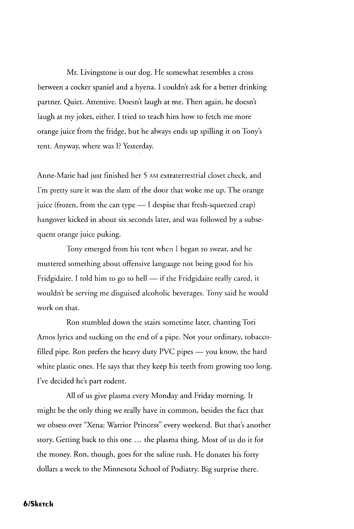Mr. Livingstone is our dog. He somewhat resembles a cross between a cocker spaniel and a hyena. I couldn't ask for a better drinking partner. Quiet. Attentive. Doesn't laugh at me. Then again, he doesn't laugh at my jokes, either. I tried to teach him how to fetch me more orange juice from the fridge, but he always ends up spilling it on Tony's tent. Anyway, where was I? Yesterday.

Anne-Marie had just finished her 5 AM extraterrestrial closet check, and I'm pretty sure it was the slam of the door that woke me up. The orange juice (frozen, from the can type — I despise that fresh-squeezed crap) hangover kicked in about six seconds later, and was followed by a subsequent orange juice puking.

Tony emerged from his tent when I began to swear, and he muttered something about offensive language not being good for his Fridgidaire. I told him to go to hell — if the Fridgidaire really cared, it wouldn't be serving me disguised alcoholic beverages. Tony said he would work on that.

Ron stumbled down the stairs sometime later, chanting Tori Amos lyrics and sucking on the end of a pipe. Not your ordinary, tobaccofilled pipe. Ron prefers the heavy duty PVC pipes — you know, the hard white plastic ones. He says that they keep his teeth from growing too long. I've decided he's part rodent.

All of us give plasma every Monday and Friday morning. It might be the only thing we really have in common, besides the fact that we obsess over "Xena: Warrior Princess" every weekend. But that's another story. Getting back to this one ... the plasma thing. Most of us do it for the money. Ron, though, goes for the saline rush. He donates his forty dollars a week to the Minnesota School of Podiatry. Big surprise there.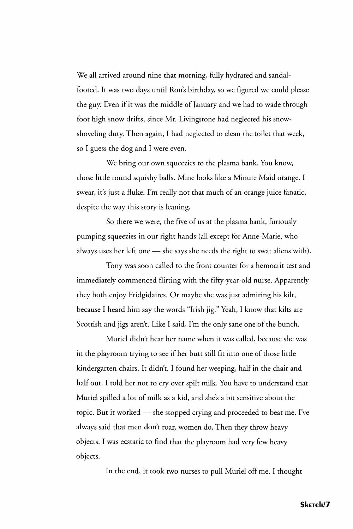We all arrived around nine that morning, fully hydrated and sandalfooted. It was two days until Ron's birthday, so we figured we could please the guy. Even if it was the middle of January and we had to wade through foot high snow drifts, since Mr. Livingstone had neglected his snowshoveling duty. Then again, I had neglected to clean the toilet that week, so I guess the dog and I were even.

We bring our own squeezies to the plasma bank. You know, those little round squishy balls. Mine looks like a Minute Maid orange. I swear, it's just a fluke. I'm really not that much of an orange juice fanatic, despite the way this story is leaning.

So there we were, the five of us at the plasma bank, furiously pumping squeezies in our right hands (all except for Anne-Marie, who always uses her left one — she says she needs the right to swat aliens with).

Tony was soon called to the front counter for a hemocrit test and immediately commenced flirting with the fifty-year-old nurse. Apparently they both enjoy Fridgidaires. Or maybe she was just admiring his kilt, because I heard him say the words "Irish jig." Yeah, I know that kilts are Scottish and jigs aren't. Like I said, I'm the only sane one of the bunch.

Muriel didn't hear her name when it was called, because she was in the playroom trying to see if her butt still fit into one of those little kindergarten chairs. It didn't. I found her weeping, half in the chair and half out. I told her not to cry over spilt milk. You have to understand that Muriel spilled a lot of milk as a kid, and she's a bit sensitive about the topic. But it worked — she stopped crying and proceeded to beat me. I've always said that men don't roar, women do. Then they throw heavy objects. I was ecstatic to find that the playroom had very few heavy objects.

In the end, it took two nurses to pull Muriel off me. I thought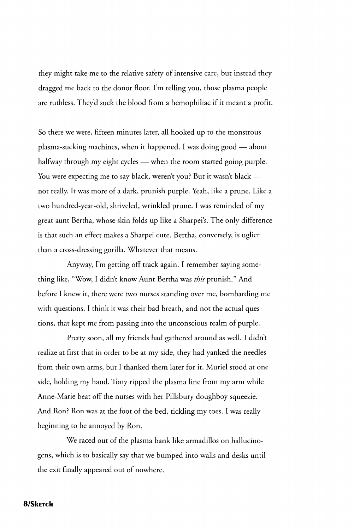they might take me to the relative safety of intensive care, but instead they dragged me back to the donor floor. I'm telling you, those plasma people are ruthless. They'd suck the blood from a hemophiliac if it meant a profit.

So there we were, fifteen minutes later, all hooked up to the monstrous plasma-sucking machines, when it happened. I was doing good — about halfway through my eight cycles — when the room started going purple. You were expecting me to say black, weren't you? But it wasn't black not really. It was more of a dark, prunish purple. Yeah, like a prune. Like a two hundred-year-old, shriveled, wrinkled prune. I was reminded of my great aunt Bertha, whose skin folds up like a Sharpei's. The only difference is that such an effect makes a Sharpei cute. Bertha, conversely, is uglier than a cross-dressing gorilla. Whatever that means.

Anyway, I'm getting off track again. I remember saying something like, "Wow, I didn't know Aunt Bertha was *this* prunish." And before I knew it, there were two nurses standing over me, bombarding me with questions. I think it was their bad breath, and not the actual questions, that kept me from passing into the unconscious realm of purple.

Pretty soon, all my friends had gathered around as well. I didn't realize at first that in order to be at my side, they had yanked the needles from their own arms, but I thanked them later for it. Muriel stood at one side, holding my hand. Tony ripped the plasma line from my arm while Anne-Marie beat off the nurses with her Pillsbury doughboy squeezie. And Ron? Ron was at the foot of the bed, tickling my toes. I was really beginning to be annoyed by Ron.

We raced out of the plasma bank like armadillos on hallucinogens, which is to basically say that we bumped into walls and desks until the exit finally appeared out of nowhere.